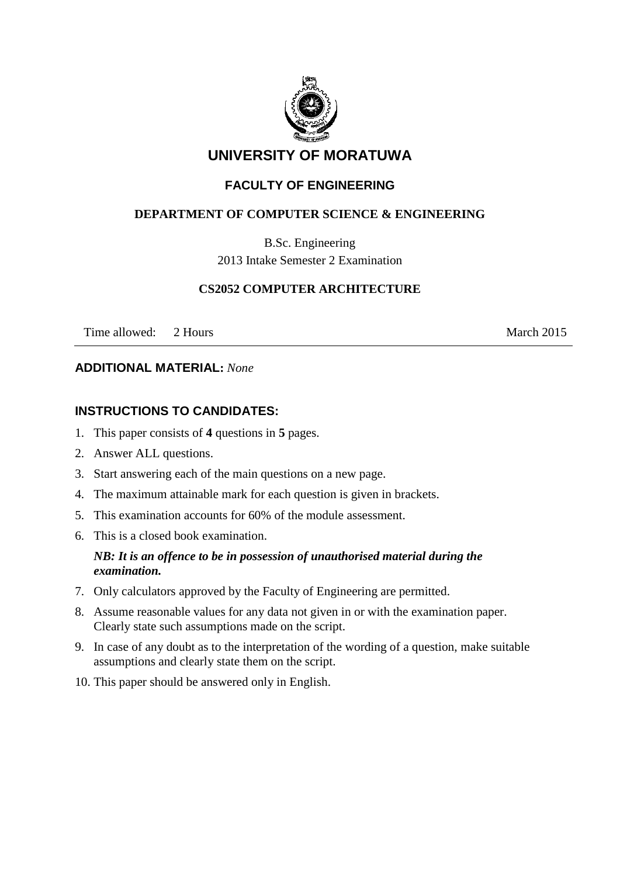

# **UNIVERSITY OF MORATUWA**

## **FACULTY OF ENGINEERING**

## **DEPARTMENT OF COMPUTER SCIENCE & ENGINEERING**

B.Sc. Engineering 2013 Intake Semester 2 Examination

## **CS2052 COMPUTER ARCHITECTURE**

Time allowed: 2 Hours March 2015

### **ADDITIONAL MATERIAL:** *None*

## **INSTRUCTIONS TO CANDIDATES:**

- 1. This paper consists of **4** questions in **5** pages.
- 2. Answer ALL questions.
- 3. Start answering each of the main questions on a new page.
- 4. The maximum attainable mark for each question is given in brackets.
- 5. This examination accounts for 60% of the module assessment.
- 6. This is a closed book examination.

## *NB: It is an offence to be in possession of unauthorised material during the examination.*

- 7. Only calculators approved by the Faculty of Engineering are permitted.
- 8. Assume reasonable values for any data not given in or with the examination paper. Clearly state such assumptions made on the script.
- 9. In case of any doubt as to the interpretation of the wording of a question, make suitable assumptions and clearly state them on the script.
- 10. This paper should be answered only in English.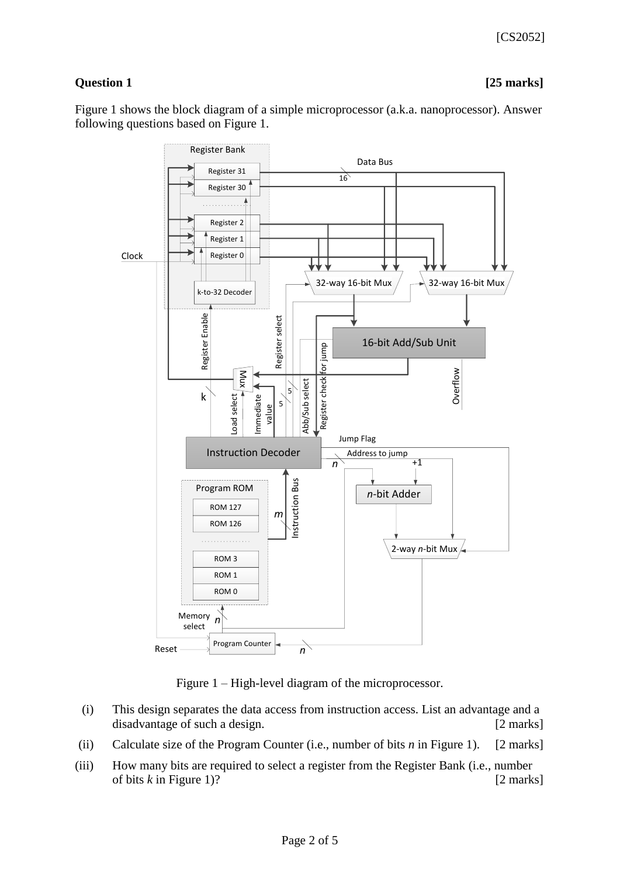## **Question 1 [25 marks]**

Figure 1 shows the block diagram of a simple microprocessor (a.k.a. nanoprocessor). Answer following questions based on Figure 1.



Figure 1 – High-level diagram of the microprocessor.

- (i) This design separates the data access from instruction access. List an advantage and a disadvantage of such a design. [2 marks]
- (ii) Calculate size of the Program Counter (i.e., number of bits *n* in Figure 1). [2 marks]
- (iii) How many bits are required to select a register from the Register Bank (i.e., number of bits *k* in Figure 1)? [2 marks]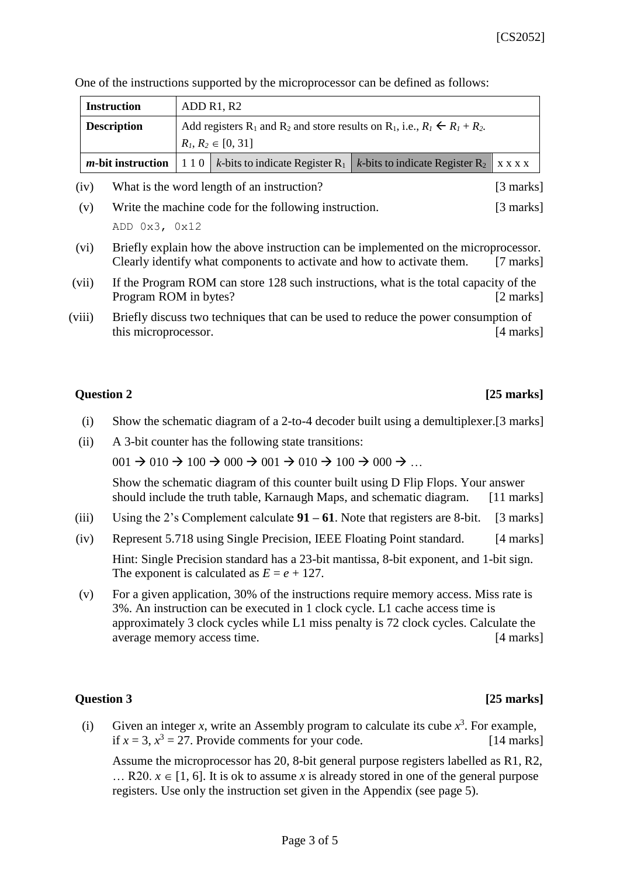|  | One of the instructions supported by the microprocessor can be defined as follows: |
|--|------------------------------------------------------------------------------------|
|  |                                                                                    |

| <b>Instruction</b> | ADD R1, R2                                                                                                               |                                                                                                                                             |  |  |  |
|--------------------|--------------------------------------------------------------------------------------------------------------------------|---------------------------------------------------------------------------------------------------------------------------------------------|--|--|--|
| <b>Description</b> | Add registers R <sub>1</sub> and R <sub>2</sub> and store results on R <sub>1</sub> , i.e., $R_1 \leftarrow R_1 + R_2$ . |                                                                                                                                             |  |  |  |
|                    | $R_1, R_2 \in [0, 31]$                                                                                                   |                                                                                                                                             |  |  |  |
|                    |                                                                                                                          | <b><i>m</i>-bit instruction</b>   1 1 0   k-bits to indicate Register R <sub>1</sub>   k-bits to indicate Register R <sub>2</sub>   x x x x |  |  |  |

- (iv) What is the word length of an instruction? [3 marks]
- (v) Write the machine code for the following instruction. [3 marks] ADD 0x3, 0x12
- (vi) Briefly explain how the above instruction can be implemented on the microprocessor. Clearly identify what components to activate and how to activate them. [7 marks]
- (vii) If the Program ROM can store 128 such instructions, what is the total capacity of the Program ROM in bytes? [2 marks]
- (viii) Briefly discuss two techniques that can be used to reduce the power consumption of this microprocessor. [4 marks]

### **Question 2** *CO CO CO CO CO***<b>** *CO CO CO CO CO CO*

- (i) Show the schematic diagram of a 2-to-4 decoder built using a demultiplexer.[3 marks]
- (ii) A 3-bit counter has the following state transitions:

 $0.01 \rightarrow 0.10 \rightarrow 100 \rightarrow 0.00 \rightarrow 0.01 \rightarrow 0.10 \rightarrow 100 \rightarrow 0.00 \rightarrow ...$ 

Show the schematic diagram of this counter built using D Flip Flops. Your answer should include the truth table, Karnaugh Maps, and schematic diagram. [11 marks]

- (iii) Using the 2's Complement calculate **91 – 61**. Note that registers are 8-bit. [3 marks]
- (iv) Represent 5.718 using Single Precision, IEEE Floating Point standard. [4 marks]

Hint: Single Precision standard has a 23-bit mantissa, 8-bit exponent, and 1-bit sign. The exponent is calculated as  $E = e + 127$ .

(v) For a given application, 30% of the instructions require memory access. Miss rate is 3%. An instruction can be executed in 1 clock cycle. L1 cache access time is approximately 3 clock cycles while L1 miss penalty is 72 clock cycles. Calculate the average memory access time. [4 marks]

## **Question 3 [25 marks]**

(i) Given an integer *x*, write an Assembly program to calculate its cube  $x^3$ . For example, if  $x = 3$ ,  $x^3 = 27$ . Provide comments for your code. [14 marks]

Assume the microprocessor has 20, 8-bit general purpose registers labelled as R1, R2,  $\ldots$  R20.  $x \in [1, 6]$ . It is ok to assume x is already stored in one of the general purpose registers. Use only the instruction set given in the Appendix (see page 5).